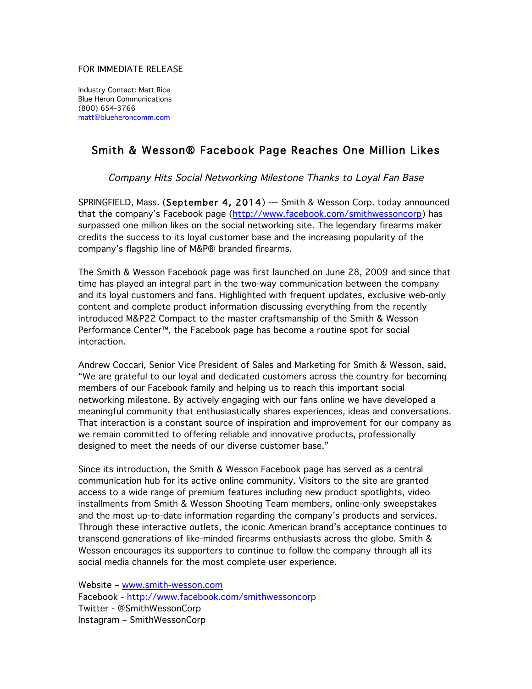## FOR IMMEDIATE RELEASE

Industry Contact: Matt Rice Blue Heron Communications (800) 654-3766 matt@blueheroncomm.com

## Smith & Wesson® Facebook Page Reaches One Million Likes

Company Hits Social Networking Milestone Thanks to Loyal Fan Base

SPRINGFIELD, Mass. (September 4, 2014) --- Smith & Wesson Corp. today announced that the company's Facebook page (http://www.facebook.com/smithwessoncorp) has surpassed one million likes on the social networking site. The legendary firearms maker credits the success to its loyal customer base and the increasing popularity of the company's flagship line of M&P® branded firearms.

The Smith & Wesson Facebook page was first launched on June 28, 2009 and since that time has played an integral part in the two-way communication between the company and its loyal customers and fans. Highlighted with frequent updates, exclusive web-only content and complete product information discussing everything from the recently introduced M&P22 Compact to the master craftsmanship of the Smith & Wesson Performance Center™, the Facebook page has become a routine spot for social interaction.

Andrew Coccari, Senior Vice President of Sales and Marketing for Smith & Wesson, said, "We are grateful to our loyal and dedicated customers across the country for becoming members of our Facebook family and helping us to reach this important social networking milestone. By actively engaging with our fans online we have developed a meaningful community that enthusiastically shares experiences, ideas and conversations. That interaction is a constant source of inspiration and improvement for our company as we remain committed to offering reliable and innovative products, professionally designed to meet the needs of our diverse customer base."

Since its introduction, the Smith & Wesson Facebook page has served as a central communication hub for its active online community. Visitors to the site are granted access to a wide range of premium features including new product spotlights, video installments from Smith & Wesson Shooting Team members, online-only sweepstakes and the most up-to-date information regarding the company's products and services. Through these interactive outlets, the iconic American brand's acceptance continues to transcend generations of like-minded firearms enthusiasts across the globe. Smith & Wesson encourages its supporters to continue to follow the company through all its social media channels for the most complete user experience.

Website – www.smith-wesson.com Facebook - http://www.facebook.com/smithwessoncorp Twitter - @SmithWessonCorp Instagram – SmithWessonCorp